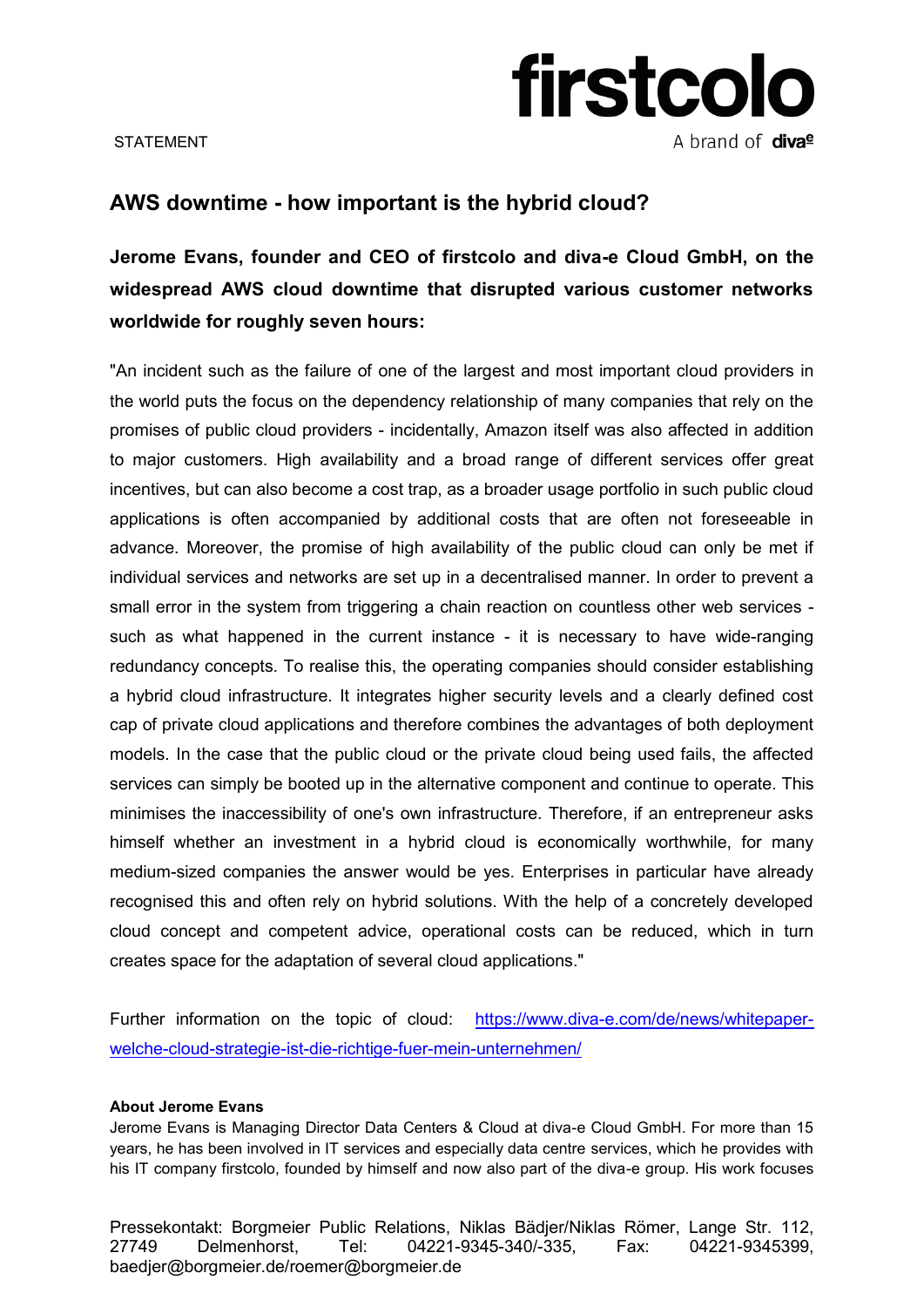

STATEMENT

## **AWS downtime - how important is the hybrid cloud?**

**Jerome Evans, founder and CEO of firstcolo and diva-e Cloud GmbH, on the widespread AWS cloud downtime that disrupted various customer networks worldwide for roughly seven hours:** 

"An incident such as the failure of one of the largest and most important cloud providers in the world puts the focus on the dependency relationship of many companies that rely on the promises of public cloud providers - incidentally, Amazon itself was also affected in addition to major customers. High availability and a broad range of different services offer great incentives, but can also become a cost trap, as a broader usage portfolio in such public cloud applications is often accompanied by additional costs that are often not foreseeable in advance. Moreover, the promise of high availability of the public cloud can only be met if individual services and networks are set up in a decentralised manner. In order to prevent a small error in the system from triggering a chain reaction on countless other web services such as what happened in the current instance - it is necessary to have wide-ranging redundancy concepts. To realise this, the operating companies should consider establishing a hybrid cloud infrastructure. It integrates higher security levels and a clearly defined cost cap of private cloud applications and therefore combines the advantages of both deployment models. In the case that the public cloud or the private cloud being used fails, the affected services can simply be booted up in the alternative component and continue to operate. This minimises the inaccessibility of one's own infrastructure. Therefore, if an entrepreneur asks himself whether an investment in a hybrid cloud is economically worthwhile, for many medium-sized companies the answer would be yes. Enterprises in particular have already recognised this and often rely on hybrid solutions. With the help of a concretely developed cloud concept and competent advice, operational costs can be reduced, which in turn creates space for the adaptation of several cloud applications."

Further information on the topic of cloud: [https://www.diva-e.com/de/news/whitepaper](https://www.diva-e.com/de/news/whitepaper-welche-cloud-strategie-ist-die-richtige-fuer-mein-unternehmen/)[welche-cloud-strategie-ist-die-richtige-fuer-mein-unternehmen/](https://www.diva-e.com/de/news/whitepaper-welche-cloud-strategie-ist-die-richtige-fuer-mein-unternehmen/) 

## **About Jerome Evans**

Jerome Evans is Managing Director Data Centers & Cloud at diva-e Cloud GmbH. For more than 15 years, he has been involved in IT services and especially data centre services, which he provides with his IT company firstcolo, founded by himself and now also part of the diva-e group. His work focuses

Pressekontakt: Borgmeier Public Relations, Niklas Bädjer/Niklas Römer, Lange Str. 112, 27749 Delmenhorst, Tel: 04221-9345-340/-335, Fax: 04221-9345399, baedjer@borgmeier.de/roemer@borgmeier.de